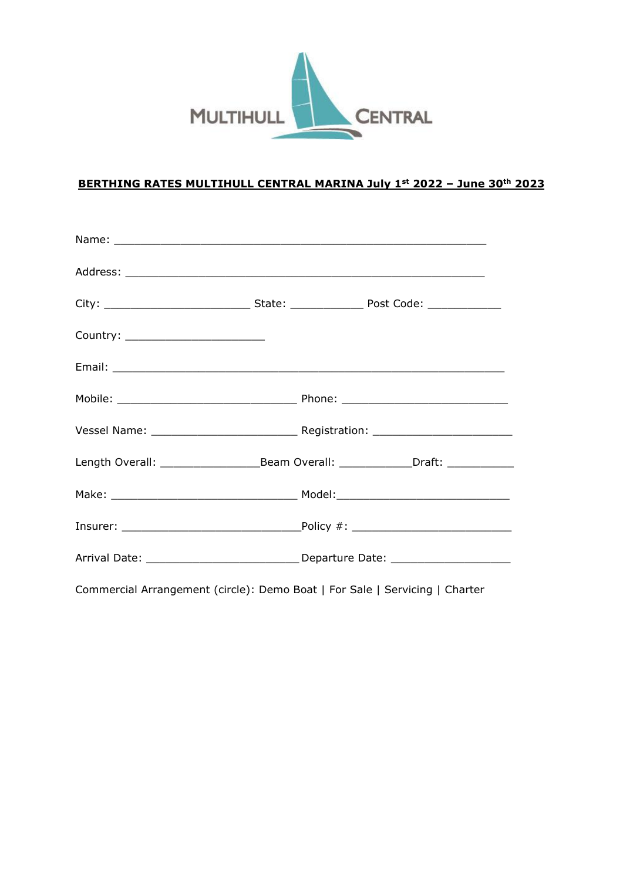

## **BERTHING RATES MULTIHULL CENTRAL MARINA July 1st 2022 – June 30th 2023**

| Country: ________________________ |                                                                             |
|-----------------------------------|-----------------------------------------------------------------------------|
|                                   |                                                                             |
|                                   |                                                                             |
|                                   |                                                                             |
|                                   |                                                                             |
|                                   |                                                                             |
|                                   |                                                                             |
|                                   |                                                                             |
|                                   | Commercial Arrangement (circle): Demo Boat   For Sale   Servicing   Charter |